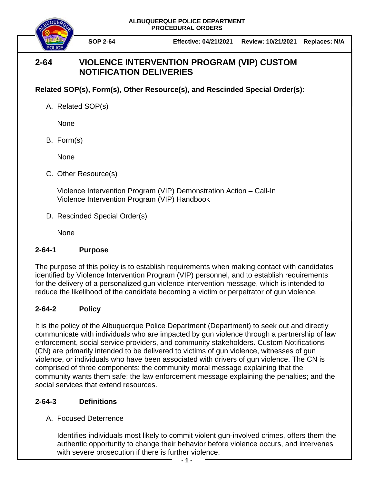**ALBUQUERQUE POLICE DEPARTMENT PROCEDURAL ORDERS**



**SOP 2-64 Effective: 04/21/2021 Review: 10/21/2021 Replaces: N/A**

# **2-64 VIOLENCE INTERVENTION PROGRAM (VIP) CUSTOM NOTIFICATION DELIVERIES**

### **Related SOP(s), Form(s), Other Resource(s), and Rescinded Special Order(s):**

A. Related SOP(s)

None

B. Form(s)

None

C. Other Resource(s)

Violence Intervention Program (VIP) Demonstration Action – Call-In Violence Intervention Program (VIP) Handbook

D. Rescinded Special Order(s)

None

### **2-64-1 Purpose**

The purpose of this policy is to establish requirements when making contact with candidates identified by Violence Intervention Program (VIP) personnel, and to establish requirements for the delivery of a personalized gun violence intervention message, which is intended to reduce the likelihood of the candidate becoming a victim or perpetrator of gun violence.

## **2-64-2 Policy**

It is the policy of the Albuquerque Police Department (Department) to seek out and directly communicate with individuals who are impacted by gun violence through a partnership of law enforcement, social service providers, and community stakeholders. Custom Notifications (CN) are primarily intended to be delivered to victims of gun violence, witnesses of gun violence, or individuals who have been associated with drivers of gun violence. The CN is comprised of three components: the community moral message explaining that the community wants them safe; the law enforcement message explaining the penalties; and the social services that extend resources.

## **2-64-3 Definitions**

## A. Focused Deterrence

Identifies individuals most likely to commit violent gun-involved crimes, offers them the authentic opportunity to change their behavior before violence occurs, and intervenes with severe prosecution if there is further violence.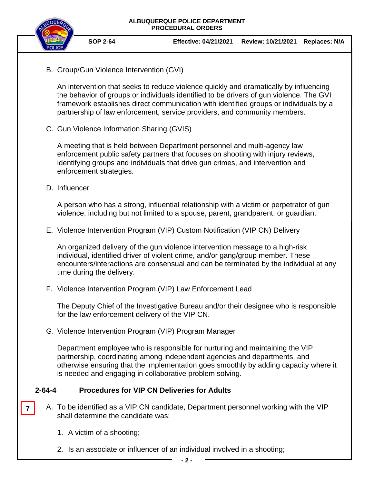

B. Group/Gun Violence Intervention (GVI)

An intervention that seeks to reduce violence quickly and dramatically by influencing the behavior of groups or individuals identified to be drivers of gun violence. The GVI framework establishes direct communication with identified groups or individuals by a partnership of law enforcement, service providers, and community members.

C. Gun Violence Information Sharing (GVIS)

A meeting that is held between Department personnel and multi-agency law enforcement public safety partners that focuses on shooting with injury reviews, identifying groups and individuals that drive gun crimes, and intervention and enforcement strategies.

D. Influencer

A person who has a strong, influential relationship with a victim or perpetrator of gun violence, including but not limited to a spouse, parent, grandparent, or guardian.

E. Violence Intervention Program (VIP) Custom Notification (VIP CN) Delivery

An organized delivery of the gun violence intervention message to a high-risk individual, identified driver of violent crime, and/or gang/group member. These encounters/interactions are consensual and can be terminated by the individual at any time during the delivery.

F. Violence Intervention Program (VIP) Law Enforcement Lead

The Deputy Chief of the Investigative Bureau and/or their designee who is responsible for the law enforcement delivery of the VIP CN.

G. Violence Intervention Program (VIP) Program Manager

Department employee who is responsible for nurturing and maintaining the VIP partnership, coordinating among independent agencies and departments, and otherwise ensuring that the implementation goes smoothly by adding capacity where it is needed and engaging in collaborative problem solving.

#### **2-64-4 Procedures for VIP CN Deliveries for Adults**

- A. To be identified as a VIP CN candidate, Department personnel working with the VIP shall determine the candidate was: **7**
	- 1. A victim of a shooting;
	- 2. Is an associate or influencer of an individual involved in a shooting;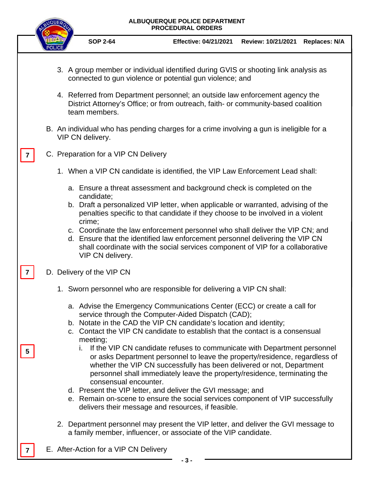# **ALBUQUERQUE POLICE DEPARTMENT PROCEDURAL ORDERS SOP 2-64 Effective: 04/21/2021 Review: 10/21/2021 Replaces: N/A** 3. A group member or individual identified during GVIS or shooting link analysis as connected to gun violence or potential gun violence; and 4. Referred from Department personnel; an outside law enforcement agency the District Attorney's Office; or from outreach, faith- or community-based coalition team members. B. An individual who has pending charges for a crime involving a gun is ineligible for a VIP CN delivery. C. Preparation for a VIP CN Delivery 1. When a VIP CN candidate is identified, the VIP Law Enforcement Lead shall: a. Ensure a threat assessment and background check is completed on the candidate; b. Draft a personalized VIP letter, when applicable or warranted, advising of the penalties specific to that candidate if they choose to be involved in a violent crime; c. Coordinate the law enforcement personnel who shall deliver the VIP CN; and d. Ensure that the identified law enforcement personnel delivering the VIP CN shall coordinate with the social services component of VIP for a collaborative VIP CN delivery. D. Delivery of the VIP CN 1. Sworn personnel who are responsible for delivering a VIP CN shall: a. Advise the Emergency Communications Center (ECC) or create a call for service through the Computer-Aided Dispatch (CAD); b. Notate in the CAD the VIP CN candidate's location and identity; c. Contact the VIP CN candidate to establish that the contact is a consensual meeting; i. If the VIP CN candidate refuses to communicate with Department personnel or asks Department personnel to leave the property/residence, regardless of whether the VIP CN successfully has been delivered or not, Department personnel shall immediately leave the property/residence, terminating the consensual encounter. d. Present the VIP letter, and deliver the GVI message; and e. Remain on-scene to ensure the social services component of VIP successfully delivers their message and resources, if feasible. 2. Department personnel may present the VIP letter, and deliver the GVI message to a family member, influencer, or associate of the VIP candidate. E. After-Action for a VIP CN Delivery **7 7 7 5**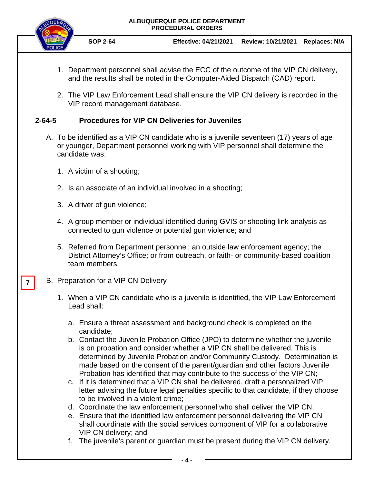#### **ALBUQUERQUE POLICE DEPARTMENT PROCEDURAL ORDERS**



- 1. Department personnel shall advise the ECC of the outcome of the VIP CN delivery, and the results shall be noted in the Computer-Aided Dispatch (CAD) report.
- 2. The VIP Law Enforcement Lead shall ensure the VIP CN delivery is recorded in the VIP record management database.

#### **2-64-5 Procedures for VIP CN Deliveries for Juveniles**

- A. To be identified as a VIP CN candidate who is a juvenile seventeen (17) years of age or younger, Department personnel working with VIP personnel shall determine the candidate was:
	- 1. A victim of a shooting;
	- 2. Is an associate of an individual involved in a shooting;
	- 3. A driver of gun violence;
	- 4. A group member or individual identified during GVIS or shooting link analysis as connected to gun violence or potential gun violence; and
	- 5. Referred from Department personnel; an outside law enforcement agency; the District Attorney's Office; or from outreach, or faith- or community-based coalition team members.

#### B. Preparation for a VIP CN Delivery

**7**

- 1. When a VIP CN candidate who is a juvenile is identified, the VIP Law Enforcement Lead shall:
	- a. Ensure a threat assessment and background check is completed on the candidate;
	- b. Contact the Juvenile Probation Office (JPO) to determine whether the juvenile is on probation and consider whether a VIP CN shall be delivered. This is determined by Juvenile Probation and/or Community Custody. Determination is made based on the consent of the parent/guardian and other factors Juvenile Probation has identified that may contribute to the success of the VIP CN;
	- c. If it is determined that a VIP CN shall be delivered, draft a personalized VIP letter advising the future legal penalties specific to that candidate, if they choose to be involved in a violent crime;
	- d. Coordinate the law enforcement personnel who shall deliver the VIP CN;
	- e. Ensure that the identified law enforcement personnel delivering the VIP CN shall coordinate with the social services component of VIP for a collaborative VIP CN delivery; and
	- f. The juvenile's parent or guardian must be present during the VIP CN delivery.